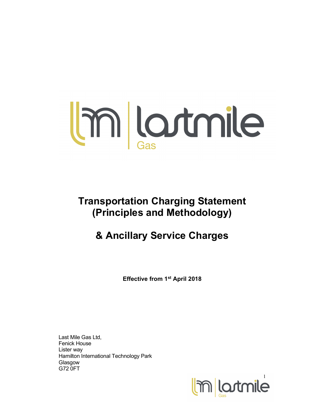

Transportation Charging Statement (Principles and Methodology)

# & Ancillary Service Charges

Effective from 1st April 2018

Last Mile Gas Ltd, Fenick House Lister way Hamilton International Technology Park **Glasgow** G72 0FT

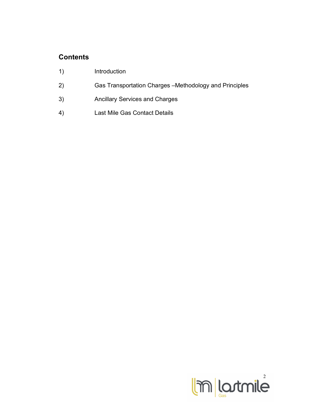## **Contents**

- 1) Introduction
- 2) Gas Transportation Charges –Methodology and Principles
- 3) Ancillary Services and Charges
- 4) Last Mile Gas Contact Details

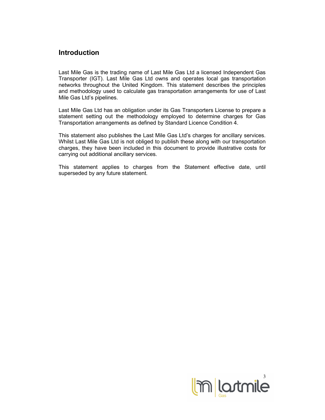#### Introduction

Last Mile Gas is the trading name of Last Mile Gas Ltd a licensed Independent Gas Transporter (IGT). Last Mile Gas Ltd owns and operates local gas transportation networks throughout the United Kingdom. This statement describes the principles and methodology used to calculate gas transportation arrangements for use of Last Mile Gas Ltd's pipelines.

Last Mile Gas Ltd has an obligation under its Gas Transporters License to prepare a statement setting out the methodology employed to determine charges for Gas Transportation arrangements as defined by Standard Licence Condition 4.

This statement also publishes the Last Mile Gas Ltd's charges for ancillary services. Whilst Last Mile Gas Ltd is not obliged to publish these along with our transportation charges, they have been included in this document to provide illustrative costs for carrying out additional ancillary services.

This statement applies to charges from the Statement effective date, until superseded by any future statement.

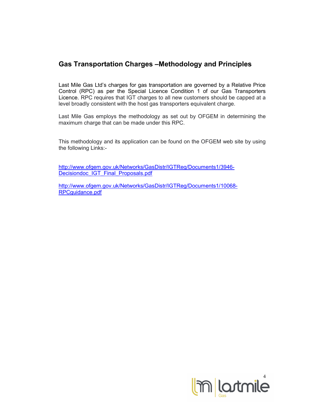## Gas Transportation Charges –Methodology and Principles

Last Mile Gas Ltd's charges for gas transportation are governed by a Relative Price Control (RPC) as per the Special Licence Condition 1 of our Gas Transporters Licence. RPC requires that IGT charges to all new customers should be capped at a level broadly consistent with the host gas transporters equivalent charge.

Last Mile Gas employs the methodology as set out by OFGEM in determining the maximum charge that can be made under this RPC.

This methodology and its application can be found on the OFGEM web site by using the following Links:-

http://www.ofgem.gov.uk/Networks/GasDistr/IGTReg/Documents1/3946- Decisiondoc\_IGT\_Final\_Proposals.pdf

http://www.ofgem.gov.uk/Networks/GasDistr/IGTReg/Documents1/10068- RPCguidance.pdf

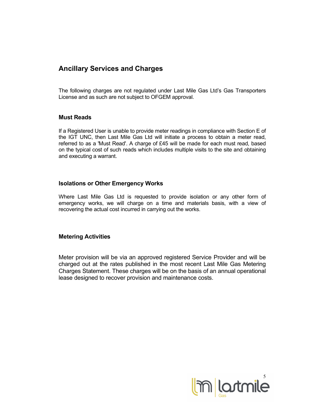### Ancillary Services and Charges

The following charges are not regulated under Last Mile Gas Ltd's Gas Transporters License and as such are not subject to OFGEM approval.

#### Must Reads

If a Registered User is unable to provide meter readings in compliance with Section E of the IGT UNC, then Last Mile Gas Ltd will initiate a process to obtain a meter read, referred to as a 'Must Read'. A charge of £45 will be made for each must read, based on the typical cost of such reads which includes multiple visits to the site and obtaining and executing a warrant.

#### Isolations or Other Emergency Works

Where Last Mile Gas Ltd is requested to provide isolation or any other form of emergency works, we will charge on a time and materials basis, with a view of recovering the actual cost incurred in carrying out the works.

#### Metering Activities

Meter provision will be via an approved registered Service Provider and will be charged out at the rates published in the most recent Last Mile Gas Metering Charges Statement. These charges will be on the basis of an annual operational lease designed to recover provision and maintenance costs.